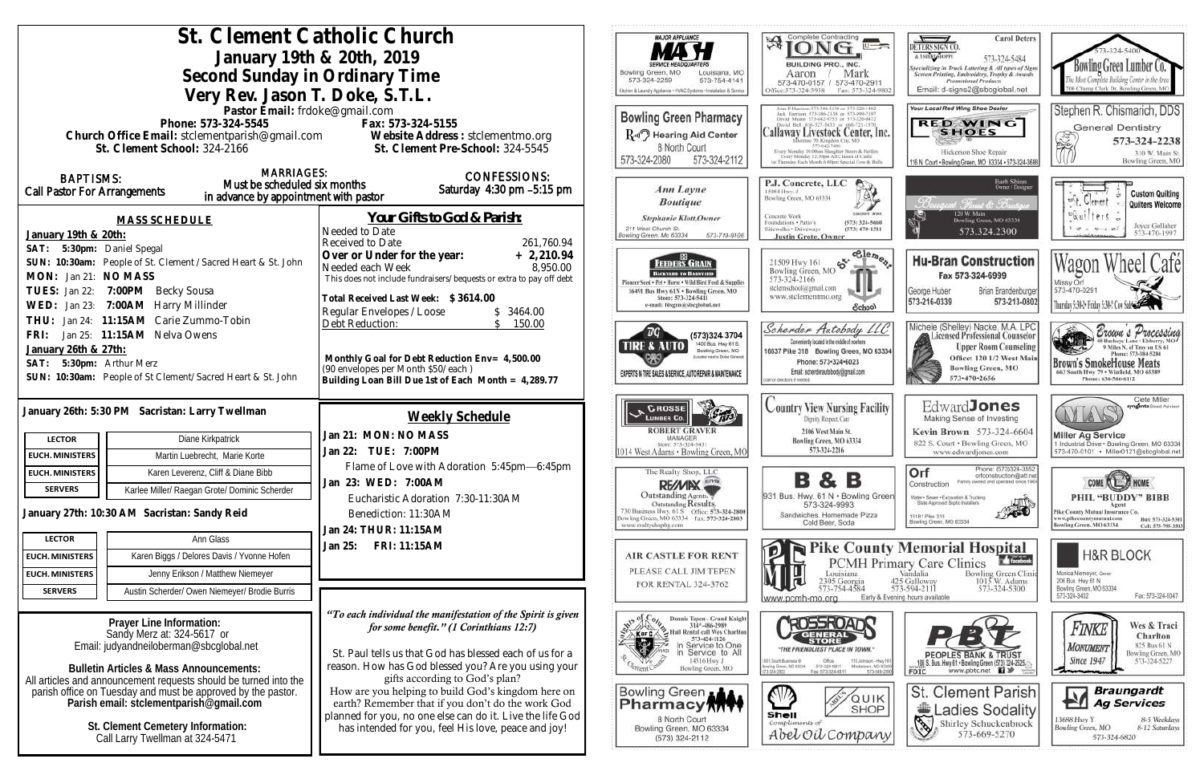|                                                                                                                        |                                                                       | St. Clement Catholic Church                                                                                          | MAJOR APPLIANCE                                                                              | Complete Contracting                                                                                                                           |
|------------------------------------------------------------------------------------------------------------------------|-----------------------------------------------------------------------|----------------------------------------------------------------------------------------------------------------------|----------------------------------------------------------------------------------------------|------------------------------------------------------------------------------------------------------------------------------------------------|
| January 19th & 20th, 2019                                                                                              |                                                                       |                                                                                                                      |                                                                                              | 孑                                                                                                                                              |
|                                                                                                                        |                                                                       | Bowling Green, MO<br>Louisiana, MO                                                                                   | BUILDING PRO., INC.                                                                          |                                                                                                                                                |
|                                                                                                                        | Second Sunday in Ordinary Time                                        | 573-324-2259<br>573-754-4141                                                                                         | Mark<br>Aaron<br>573-470-0157 / 573-470-29                                                   |                                                                                                                                                |
|                                                                                                                        | Very Rev. Jason T. Doke, S.T.L.                                       |                                                                                                                      | Kitchen & Laundry Appliance + HVAC Systems + Installation & Senice                           | Office:573-324-5958<br>Fax: 573-324                                                                                                            |
|                                                                                                                        | Pastor Email: frdoke@gmail.com                                        |                                                                                                                      | <b>Bowling Green Pharmacy</b>                                                                | Jack Harrison 573-386-2138 or 573-999-719<br>David Means 573-642-9753 or 573-220-4                                                             |
|                                                                                                                        | Phone: 573-324-5545                                                   | Fax: 573-324-5155                                                                                                    | R-II <sup>7</sup> Hearing Aid Center                                                         | David Bell 816-327-5633 or 666-721-<br><b>Callaway Livestock Center, I</b>                                                                     |
|                                                                                                                        | St. Clement School: 324-2166                                          | Church Office Email: stclementparish@gmail.com Website Address : stclementmo.org<br>St. Clement Pre-School: 324-5545 | 8 North Court                                                                                | Dentute 70; Kingdon City, MO<br>573-647-7486                                                                                                   |
|                                                                                                                        |                                                                       |                                                                                                                      | 573-324-2080<br>573-324-2112                                                                 | Every Monday 10:00ain Slaughor Steers & Heifer<br>Every Monday 12:50pm All Classes of Cattle<br>1 = Thunday Each Munth 6 00mm Soccial Cow & In |
| <b>BAPTISMS:</b>                                                                                                       | <b>MARRIAGES:</b>                                                     | <b>CONFESSIONS:</b>                                                                                                  |                                                                                              |                                                                                                                                                |
| <b>Call Pastor For Arrangements</b>                                                                                    | Must be scheduled six months<br>in advance by appointment with pastor | Saturday 4:30 pm -5:15 pm                                                                                            | Ann Layne                                                                                    | P.J. Concrete, LLC<br>15084 Hwy. J<br>Bowling Green, MO 63334                                                                                  |
|                                                                                                                        |                                                                       |                                                                                                                      | <b>Boutique</b>                                                                              |                                                                                                                                                |
|                                                                                                                        | <b>MASS SCHEDULE</b>                                                  | <u>Your Gifts to God &amp; Parish:</u>                                                                               | <b>Stephanie Klott, Owner</b><br>211 West Church St.                                         | Concrete Work<br>Foundations . Patio's<br>(573) 324-566                                                                                        |
| January 19th & 20th:                                                                                                   |                                                                       | Needed to Date<br>261,760.94<br>Received to Date                                                                     | Bowling Green, Mo 63334<br>573-719-9108                                                      | Sidewalks . Driveways<br>$(573)$ 470-151<br><b>Justin Grote, Owner</b>                                                                         |
| SAT:                                                                                                                   | 5:30pm: Daniel Spegal                                                 | Over or Under for the year:<br>$+2,210.94$                                                                           |                                                                                              | $e^{e}$                                                                                                                                        |
|                                                                                                                        | SUN: 10:30am: People of St. Clement / Sacred Heart & St. John         | 8,950.00<br>Needed each Week                                                                                         | <b>FEDERS GRAIN</b><br>BACKYARD TO BASSYARD                                                  | $\mathfrak{S}^{\mathfrak{c}}$<br>21509 Hwy 161<br>Bowling Green, MO                                                                            |
| MON: Jan 21: NO MASS                                                                                                   |                                                                       | This does not include fundraisers/bequests or extra to pay off debt                                                  | Pionzer Seed . Pet . Horse . Wild Bird Feed & Supplies                                       | 573-324-2166<br>stelemschool@gmail.com                                                                                                         |
|                                                                                                                        | TUES: Jan 22: 7:00PM Becky Sousa                                      | Total Received Last Week: \$3614.00                                                                                  | 16491 Bus Hwy 61N . Bowling Green, MO<br>Store: 573-324-5411<br>e-mail: fdsgrn@sbeglobal.net | www.stclementmo.org                                                                                                                            |
| 7:00AM Harry Millinder<br>WED: Jan 23:<br>Jan 24: 11:15AM Carie Zummo-Tobin<br>THU:                                    |                                                                       | Regular Envelopes / Loose<br>3464.00                                                                                 |                                                                                              | School                                                                                                                                         |
| Jan 25: 11:15AM Nelva Owens<br>FRI:                                                                                    |                                                                       | Debt Reduction:<br>150.00                                                                                            | (573)324 3704                                                                                | Scherder Autobody LL                                                                                                                           |
| January 26th & 27th:                                                                                                   |                                                                       |                                                                                                                      | 1400 Bus. Hwy 61 S.<br>TIRE & AUTO<br>Bowling Green, MO                                      | Conveniently located in the middle of nowhere<br>16637 Pike 318 Bowling Green, MO 6                                                            |
| 5:30pm: Arthur Merz<br>SAT:                                                                                            |                                                                       | Monthly Goal for Debt Reduction Env= 4,500.00                                                                        | counted years to Dollar General                                                              | Phone: 573-324-6023                                                                                                                            |
| SUN: 10:30am: People of St Clement/Sacred Heart & St. John                                                             |                                                                       | (90 envelopes per Month \$50/each)<br>Building Loan Bill Due 1st of Each Month = 4,289.77                            | EXPERTS IN TIRE SALES & SERVICE, AUTO REPAIR & MAINTENANCE                                   | Email: scherderautobody@gmail.com<br>call for directorys if needed.                                                                            |
|                                                                                                                        |                                                                       |                                                                                                                      |                                                                                              |                                                                                                                                                |
|                                                                                                                        | January 26th: 5:30 PM Sacristan: Larry Twellman                       |                                                                                                                      | <b>CROSSE</b>                                                                                | <b>Country View Nursing Facil</b>                                                                                                              |
|                                                                                                                        |                                                                       | Weekly Schedule                                                                                                      | <b>LUMBER CO</b><br><b>ROBERT GRAVER</b>                                                     | Digitity, Respect, Care                                                                                                                        |
| <b>LECTOR</b>                                                                                                          | Diane Kirkpatrick                                                     | Jan 21: MON: NO MASS                                                                                                 | MANAGER<br>Sizen: 573-324-5431                                                               | 2106 West Main St.<br>Bowling Green, MO 63334                                                                                                  |
| <b>EUCH. MINISTERS</b>                                                                                                 | Martin Luebrecht, Marie Korte                                         | Jan 22: TUE: 7:00PM                                                                                                  | 1014 West Adams · Bowling Green, MO                                                          | 573-324-2216                                                                                                                                   |
| <b>EUCH. MINISTERS</b>                                                                                                 | Karen Leverenz, Cliff & Diane Bibb                                    | Flame of Love with Adoration 5:45pm-6:45pm                                                                           | The Realty Shop, LLC                                                                         | в<br>В                                                                                                                                         |
| <b>SERVERS</b>                                                                                                         | Karlee Miller/ Raegan Grote/ Dominic Scherder                         | Jan 23: WED: 7:00AM<br>Eucharistic Adoration 7:30-11:30AM                                                            | RE/MIX<br>Outstanding Agents.                                                                | 931 Bus. Hwy. 61 N · Bowling G                                                                                                                 |
|                                                                                                                        | January 27th: 10:30 AM Sacristan: Sandy Reid                          | Benediction: 11:30AM                                                                                                 | Outstanding Results.                                                                         | 573-324-9993<br>Sandwiches, Homemade Pizza                                                                                                     |
|                                                                                                                        |                                                                       | Jan 24: THUR: 11:15AM                                                                                                | Bowling Green, MO 63334 Fax: 573-324-2803<br>www.realtyshopbg.com                            | Cold Beer, Soda                                                                                                                                |
| <b>LECTOR</b>                                                                                                          | Ann Glass                                                             | FRI: 11:15AM<br>Jan 25:                                                                                              |                                                                                              | Pike Coun                                                                                                                                      |
| <b>EUCH. MINISTERS</b>                                                                                                 | Karen Biggs / Delores Davis / Yvonne Hofen                            |                                                                                                                      | <b>AIR CASTLE FOR RENT</b>                                                                   | <b>PCMHP</b>                                                                                                                                   |
| <b>EUCH. MINISTERS</b>                                                                                                 | Jenny Erikson / Matthew Niemeyer                                      |                                                                                                                      | PLEASE CALL JIM TEPEN<br>FOR RENTAL 324-3762                                                 | Louisiana<br>2305 Georgia                                                                                                                      |
| <b>SERVERS</b>                                                                                                         | Austin Scherder/ Owen Niemeyer/ Brodie Burris                         |                                                                                                                      |                                                                                              | 573-754-4584<br>Early i<br>www.pcmh-mo.org                                                                                                     |
|                                                                                                                        |                                                                       | "To each individual the manifestation of the Spirit is given                                                         | Donnie Tepen - Grand Knight                                                                  |                                                                                                                                                |
|                                                                                                                        | Prayer Line Information:<br>Sandy Merz at: 324-5617 or                | for some benefit." (1 Corinthians 12:7)                                                                              | Ole Donms 314*-486-2987<br>FB Ball Rental call Wes Charlton<br>K or C                        |                                                                                                                                                |
| Email: judyandneiloberman@sbcqlobal.net                                                                                |                                                                       |                                                                                                                      | In Service to One                                                                            | "THE FRIENDLIEST PLACE IN TOWN                                                                                                                 |
|                                                                                                                        |                                                                       | St. Paul tells us that God has blessed each of us for a<br>reason. How has God blessed you? Are you using your       | In Service to All<br>14516 Hwy J                                                             | 101 South Business 61<br>10 Johnson - H<br>Bowing Green, MO 83334<br>373-326-6811                                                              |
| <b>Bulletin Articles &amp; Mass Announcements:</b><br>All articles and announcement requests should be turned into the |                                                                       | gifts according to God's plan?                                                                                       | Bowling Green, MO                                                                            | Fax: 573-324-6811                                                                                                                              |
| parish office on Tuesday and must be approved by the pastor.                                                           |                                                                       | How are you helping to build God's kingdom here on                                                                   | Bowling Green                                                                                | QUII                                                                                                                                           |
| Parish email: stclementparish@gmail.com                                                                                |                                                                       | earth? Remember that if you don't do the work God                                                                    | <b>Pharmacy TTTT</b>                                                                         | SHO<br>Shell                                                                                                                                   |
| St. Clement Cemetery Information:                                                                                      |                                                                       | planned for you, no one else can do it. Live the life God<br>has intended for you, feel His love, peace and joy!     | 8 North Court<br>Bowling Green, MO 63334                                                     | Compliments of                                                                                                                                 |
| Call Larry Twellman at 324-5471                                                                                        |                                                                       |                                                                                                                      | (573) 324-2112                                                                               | Abel Oil Compar                                                                                                                                |
|                                                                                                                        |                                                                       |                                                                                                                      |                                                                                              |                                                                                                                                                |